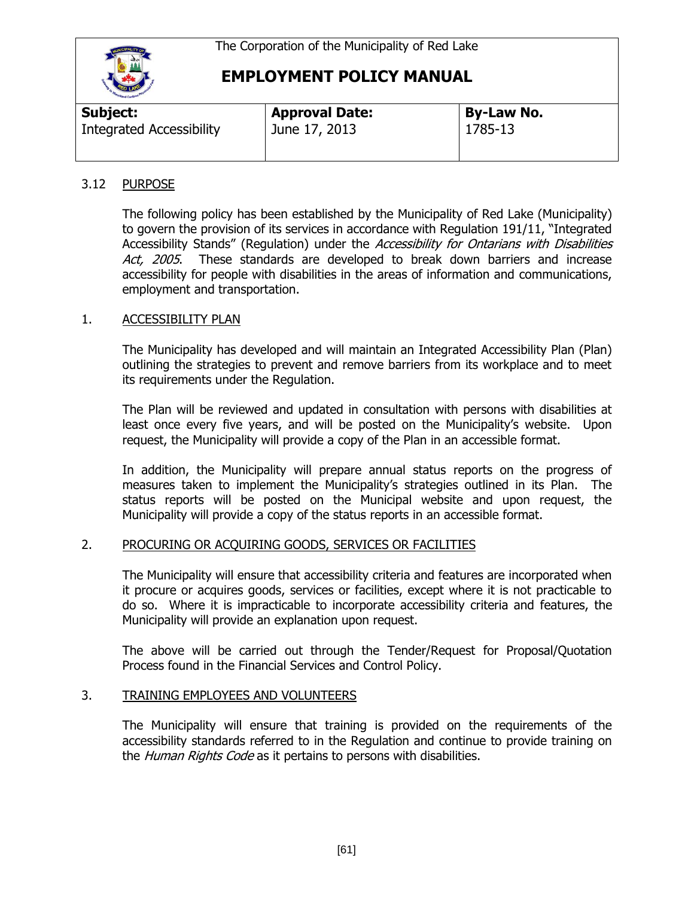

| <b>Subject:</b>                 | <b>Approval Date:</b> | <b>By-Law No.</b> |
|---------------------------------|-----------------------|-------------------|
| <b>Integrated Accessibility</b> | June 17, 2013         | 1785-13           |

#### 3.12 PURPOSE

The following policy has been established by the Municipality of Red Lake (Municipality) to govern the provision of its services in accordance with Regulation 191/11, "Integrated Accessibility Stands" (Regulation) under the *Accessibility for Ontarians with Disabilities* Act, 2005. These standards are developed to break down barriers and increase accessibility for people with disabilities in the areas of information and communications, employment and transportation.

#### 1. ACCESSIBILITY PLAN

The Municipality has developed and will maintain an Integrated Accessibility Plan (Plan) outlining the strategies to prevent and remove barriers from its workplace and to meet its requirements under the Regulation.

The Plan will be reviewed and updated in consultation with persons with disabilities at least once every five years, and will be posted on the Municipality's website. Upon request, the Municipality will provide a copy of the Plan in an accessible format.

In addition, the Municipality will prepare annual status reports on the progress of measures taken to implement the Municipality's strategies outlined in its Plan. The status reports will be posted on the Municipal website and upon request, the Municipality will provide a copy of the status reports in an accessible format.

## 2. PROCURING OR ACQUIRING GOODS, SERVICES OR FACILITIES

The Municipality will ensure that accessibility criteria and features are incorporated when it procure or acquires goods, services or facilities, except where it is not practicable to do so. Where it is impracticable to incorporate accessibility criteria and features, the Municipality will provide an explanation upon request.

The above will be carried out through the Tender/Request for Proposal/Quotation Process found in the Financial Services and Control Policy.

#### 3. TRAINING EMPLOYEES AND VOLUNTEERS

The Municipality will ensure that training is provided on the requirements of the accessibility standards referred to in the Regulation and continue to provide training on the Human Rights Code as it pertains to persons with disabilities.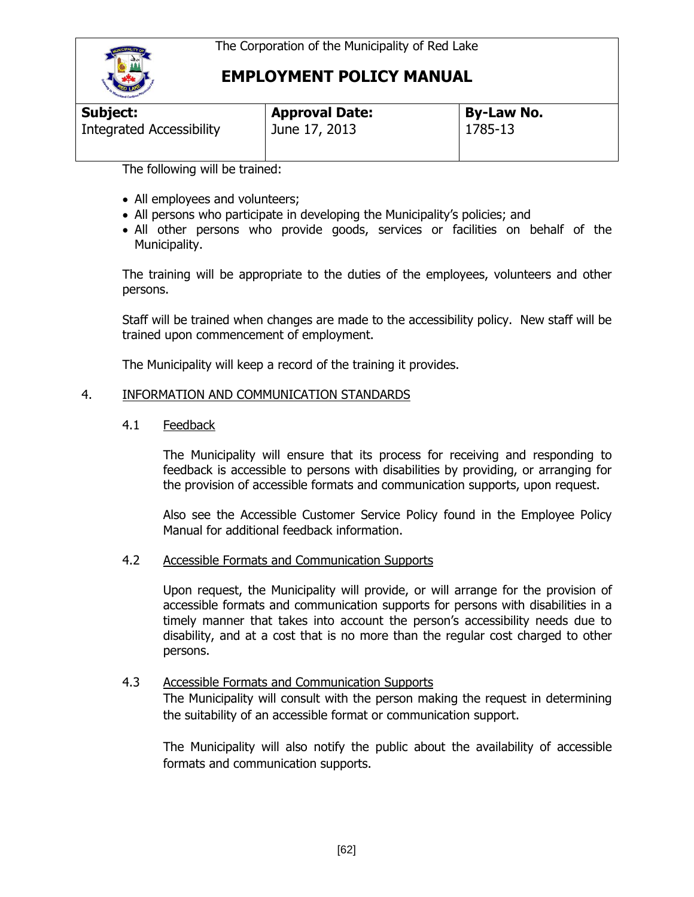

| Subject:                 | <b>Approval Date:</b> | By-Law No. |  |
|--------------------------|-----------------------|------------|--|
| Integrated Accessibility | June 17, 2013         | 1785-13    |  |

The following will be trained:

- All employees and volunteers;
- All persons who participate in developing the Municipality's policies; and
- All other persons who provide goods, services or facilities on behalf of the Municipality.

The training will be appropriate to the duties of the employees, volunteers and other persons.

Staff will be trained when changes are made to the accessibility policy. New staff will be trained upon commencement of employment.

The Municipality will keep a record of the training it provides.

#### 4. INFORMATION AND COMMUNICATION STANDARDS

#### 4.1 Feedback

The Municipality will ensure that its process for receiving and responding to feedback is accessible to persons with disabilities by providing, or arranging for the provision of accessible formats and communication supports, upon request.

Also see the Accessible Customer Service Policy found in the Employee Policy Manual for additional feedback information.

#### 4.2 Accessible Formats and Communication Supports

Upon request, the Municipality will provide, or will arrange for the provision of accessible formats and communication supports for persons with disabilities in a timely manner that takes into account the person's accessibility needs due to disability, and at a cost that is no more than the regular cost charged to other persons.

#### 4.3 Accessible Formats and Communication Supports

The Municipality will consult with the person making the request in determining the suitability of an accessible format or communication support.

The Municipality will also notify the public about the availability of accessible formats and communication supports.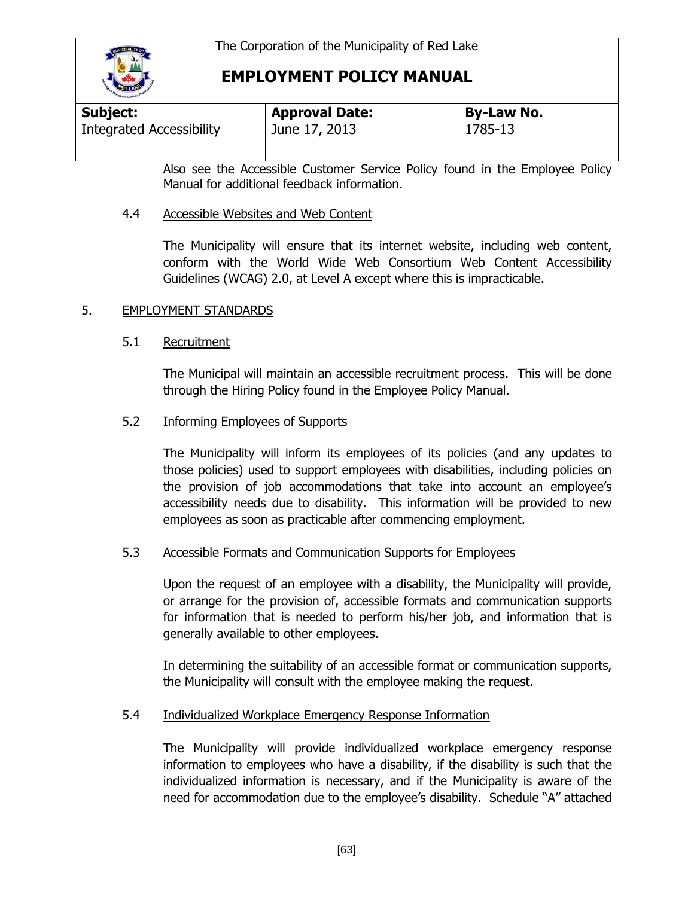

| Subject:                 | <b>Approval Date:</b> | <b>By-Law No.</b> |  |
|--------------------------|-----------------------|-------------------|--|
| Integrated Accessibility | June 17, 2013         | 1785-13           |  |

Also see the Accessible Customer Service Policy found in the Employee Policy Manual for additional feedback information.

## 4.4 Accessible Websites and Web Content

The Municipality will ensure that its internet website, including web content, conform with the World Wide Web Consortium Web Content Accessibility Guidelines (WCAG) 2.0, at Level A except where this is impracticable.

## 5. EMPLOYMENT STANDARDS

## 5.1 Recruitment

The Municipal will maintain an accessible recruitment process. This will be done through the Hiring Policy found in the Employee Policy Manual.

## 5.2 **Informing Employees of Supports**

The Municipality will inform its employees of its policies (and any updates to those policies) used to support employees with disabilities, including policies on the provision of job accommodations that take into account an employee's accessibility needs due to disability. This information will be provided to new employees as soon as practicable after commencing employment.

## 5.3 Accessible Formats and Communication Supports for Employees

Upon the request of an employee with a disability, the Municipality will provide, or arrange for the provision of, accessible formats and communication supports for information that is needed to perform his/her job, and information that is generally available to other employees.

In determining the suitability of an accessible format or communication supports, the Municipality will consult with the employee making the request.

## 5.4 Individualized Workplace Emergency Response Information

The Municipality will provide individualized workplace emergency response information to employees who have a disability, if the disability is such that the individualized information is necessary, and if the Municipality is aware of the need for accommodation due to the employee's disability. Schedule "A" attached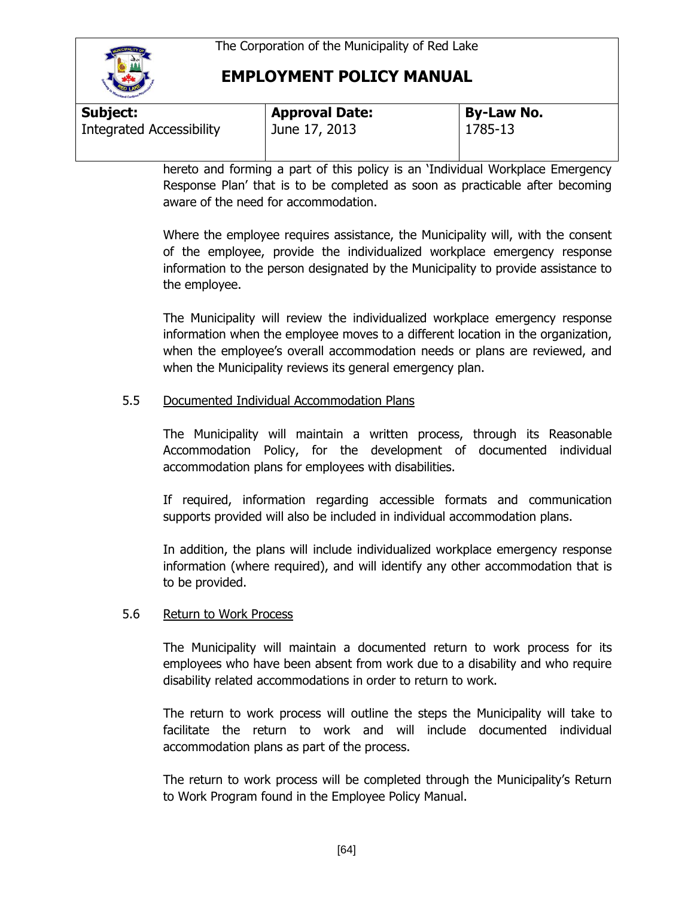

| <b>Subject:</b>                 | <b>Approval Date:</b> | <b>By-Law No.</b> |  |
|---------------------------------|-----------------------|-------------------|--|
| <b>Integrated Accessibility</b> | June 17, 2013         | 1785-13           |  |

hereto and forming a part of this policy is an 'Individual Workplace Emergency Response Plan' that is to be completed as soon as practicable after becoming aware of the need for accommodation.

Where the employee requires assistance, the Municipality will, with the consent of the employee, provide the individualized workplace emergency response information to the person designated by the Municipality to provide assistance to the employee.

The Municipality will review the individualized workplace emergency response information when the employee moves to a different location in the organization, when the employee's overall accommodation needs or plans are reviewed, and when the Municipality reviews its general emergency plan.

## 5.5 Documented Individual Accommodation Plans

The Municipality will maintain a written process, through its Reasonable Accommodation Policy, for the development of documented individual accommodation plans for employees with disabilities.

If required, information regarding accessible formats and communication supports provided will also be included in individual accommodation plans.

In addition, the plans will include individualized workplace emergency response information (where required), and will identify any other accommodation that is to be provided.

## 5.6 Return to Work Process

The Municipality will maintain a documented return to work process for its employees who have been absent from work due to a disability and who require disability related accommodations in order to return to work.

The return to work process will outline the steps the Municipality will take to facilitate the return to work and will include documented individual accommodation plans as part of the process.

The return to work process will be completed through the Municipality's Return to Work Program found in the Employee Policy Manual.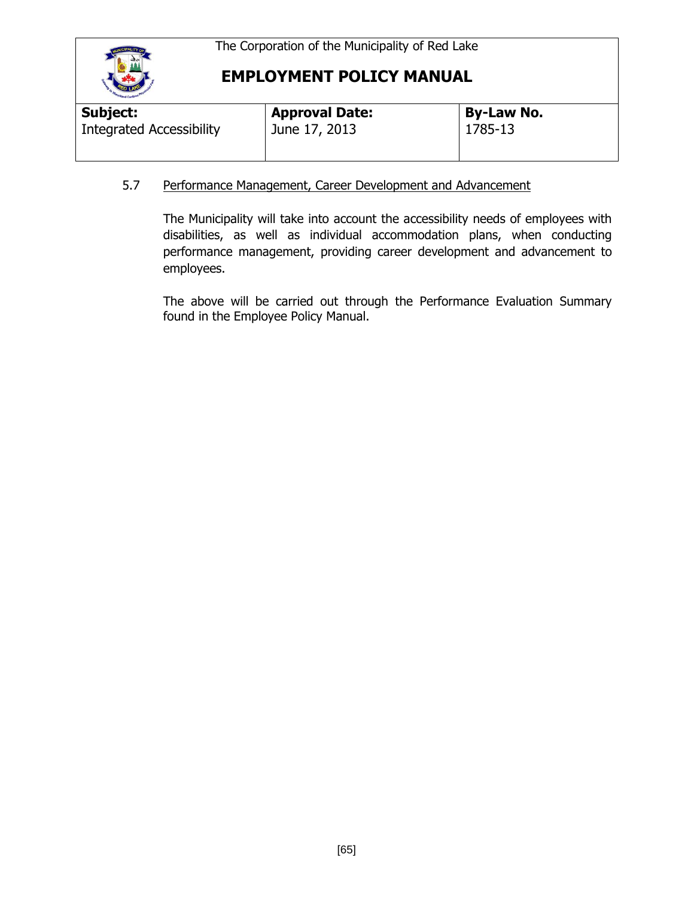

| <b>Approval Date:</b> | <b>By-Law No.</b> |
|-----------------------|-------------------|
| June 17, 2013         | 1785-13           |
|                       |                   |

## 5.7 Performance Management, Career Development and Advancement

The Municipality will take into account the accessibility needs of employees with disabilities, as well as individual accommodation plans, when conducting performance management, providing career development and advancement to employees.

The above will be carried out through the Performance Evaluation Summary found in the Employee Policy Manual.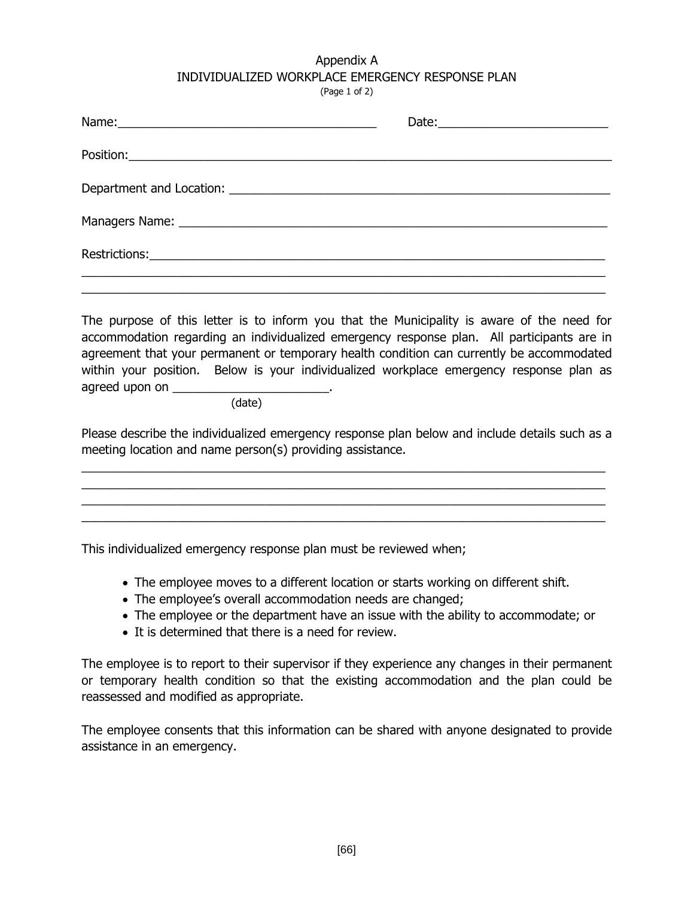#### Appendix A INDIVIDUALIZED WORKPLACE EMERGENCY RESPONSE PLAN (Page 1 of 2)

The purpose of this letter is to inform you that the Municipality is aware of the need for accommodation regarding an individualized emergency response plan. All participants are in agreement that your permanent or temporary health condition can currently be accommodated within your position. Below is your individualized workplace emergency response plan as agreed upon on \_\_\_\_\_\_\_\_\_\_\_\_\_\_\_\_\_\_\_\_\_\_\_.

(date)

Please describe the individualized emergency response plan below and include details such as a meeting location and name person(s) providing assistance.

\_\_\_\_\_\_\_\_\_\_\_\_\_\_\_\_\_\_\_\_\_\_\_\_\_\_\_\_\_\_\_\_\_\_\_\_\_\_\_\_\_\_\_\_\_\_\_\_\_\_\_\_\_\_\_\_\_\_\_\_\_\_\_\_\_\_\_\_\_\_\_\_\_\_\_\_\_ \_\_\_\_\_\_\_\_\_\_\_\_\_\_\_\_\_\_\_\_\_\_\_\_\_\_\_\_\_\_\_\_\_\_\_\_\_\_\_\_\_\_\_\_\_\_\_\_\_\_\_\_\_\_\_\_\_\_\_\_\_\_\_\_\_\_\_\_\_\_\_\_\_\_\_\_\_ \_\_\_\_\_\_\_\_\_\_\_\_\_\_\_\_\_\_\_\_\_\_\_\_\_\_\_\_\_\_\_\_\_\_\_\_\_\_\_\_\_\_\_\_\_\_\_\_\_\_\_\_\_\_\_\_\_\_\_\_\_\_\_\_\_\_\_\_\_\_\_\_\_\_\_\_\_ \_\_\_\_\_\_\_\_\_\_\_\_\_\_\_\_\_\_\_\_\_\_\_\_\_\_\_\_\_\_\_\_\_\_\_\_\_\_\_\_\_\_\_\_\_\_\_\_\_\_\_\_\_\_\_\_\_\_\_\_\_\_\_\_\_\_\_\_\_\_\_\_\_\_\_\_\_

This individualized emergency response plan must be reviewed when;

- The employee moves to a different location or starts working on different shift.
- The employee's overall accommodation needs are changed;
- The employee or the department have an issue with the ability to accommodate; or
- It is determined that there is a need for review.

The employee is to report to their supervisor if they experience any changes in their permanent or temporary health condition so that the existing accommodation and the plan could be reassessed and modified as appropriate.

The employee consents that this information can be shared with anyone designated to provide assistance in an emergency.